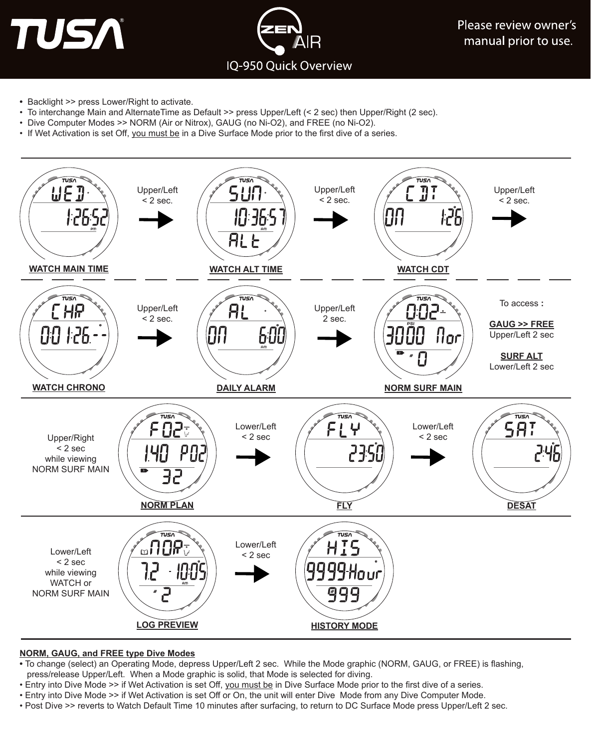TUSA



Please review owner's manual prior to use.

- Backlight >> press Lower/Right to activate.
- To interchange Main and AlternateTime as Default >> press Upper/Left (< 2 sec) then Upper/Right (2 sec).
- Dive Computer Modes >> NORM (Air or Nitrox), GAUG (no Ni-O2), and FREE (no Ni-O2).
- If Wet Activation is set Off, you must be in a Dive Surface Mode prior to the first dive of a series.



### **NORM, GAUG, and FREE type Dive Modes**

- To change (select) an Operating Mode, depress Upper/Left 2 sec. While the Mode graphic (NORM, GAUG, or FREE) is flashing, press/release Upper/Left. When a Mode graphic is solid, that Mode is selected for diving.
- Entry into Dive Mode >> if Wet Activation is set Off, you must be in Dive Surface Mode prior to the first dive of a series.
- Entry into Dive Mode >> if Wet Activation is set Off or On, the unit will enter Dive Mode from any Dive Computer Mode.
- Post Dive >> reverts to Watch Default Time 10 minutes after surfacing, to return to DC Surface Mode press Upper/Left 2 sec.